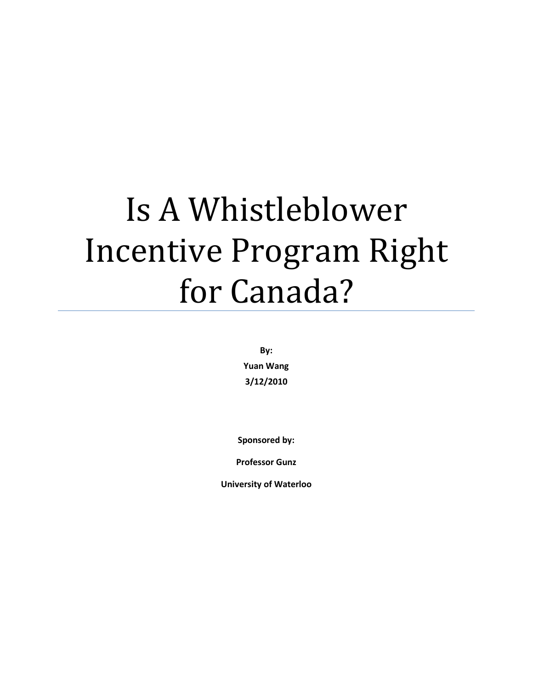# Is A Whistleblower Incentive Program Right for Canada?

**By: Yuan Wang 3/12/2010** 

**Sponsored by:** 

**Professor Gunz** 

**University of Waterloo**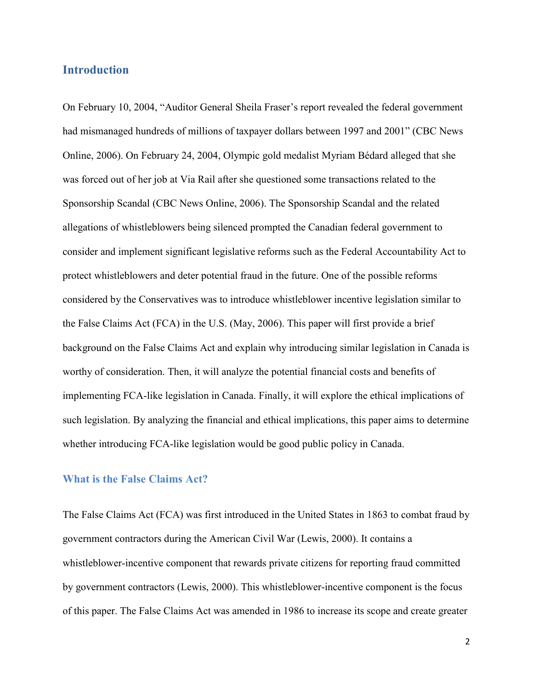## **Introduction**

On February 10, 2004, "Auditor General Sheila Fraser's report revealed the federal government had mismanaged hundreds of millions of taxpayer dollars between 1997 and 2001" (CBC News Online, 2006). On February 24, 2004, Olympic gold medalist Myriam Bédard alleged that she was forced out of her job at Via Rail after she questioned some transactions related to the Sponsorship Scandal (CBC News Online, 2006). The Sponsorship Scandal and the related allegations of whistleblowers being silenced prompted the Canadian federal government to consider and implement significant legislative reforms such as the Federal Accountability Act to protect whistleblowers and deter potential fraud in the future. One of the possible reforms considered by the Conservatives was to introduce whistleblower incentive legislation similar to the False Claims Act (FCA) in the U.S. (May, 2006). This paper will first provide a brief background on the False Claims Act and explain why introducing similar legislation in Canada is worthy of consideration. Then, it will analyze the potential financial costs and benefits of implementing FCA-like legislation in Canada. Finally, it will explore the ethical implications of such legislation. By analyzing the financial and ethical implications, this paper aims to determine whether introducing FCA-like legislation would be good public policy in Canada.

#### **What is the False Claims Act?**

The False Claims Act (FCA) was first introduced in the United States in 1863 to combat fraud by government contractors during the American Civil War (Lewis, 2000). It contains a whistleblower-incentive component that rewards private citizens for reporting fraud committed by government contractors (Lewis, 2000). This whistleblower-incentive component is the focus of this paper. The False Claims Act was amended in 1986 to increase its scope and create greater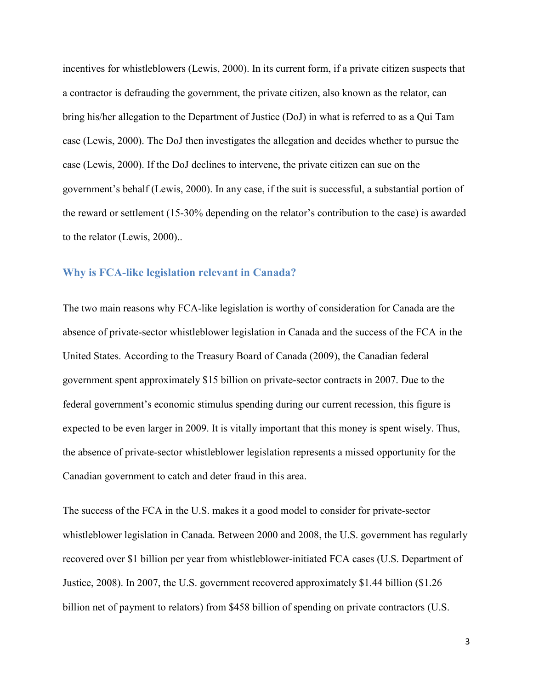incentives for whistleblowers (Lewis, 2000). In its current form, if a private citizen suspects that a contractor is defrauding the government, the private citizen, also known as the relator, can bring his/her allegation to the Department of Justice (DoJ) in what is referred to as a Qui Tam case (Lewis, 2000). The DoJ then investigates the allegation and decides whether to pursue the case (Lewis, 2000). If the DoJ declines to intervene, the private citizen can sue on the government's behalf (Lewis, 2000). In any case, if the suit is successful, a substantial portion of the reward or settlement (15-30% depending on the relator's contribution to the case) is awarded to the relator (Lewis, 2000)..

#### **Why is FCA-like legislation relevant in Canada?**

The two main reasons why FCA-like legislation is worthy of consideration for Canada are the absence of private-sector whistleblower legislation in Canada and the success of the FCA in the United States. According to the Treasury Board of Canada (2009), the Canadian federal government spent approximately \$15 billion on private-sector contracts in 2007. Due to the federal government's economic stimulus spending during our current recession, this figure is expected to be even larger in 2009. It is vitally important that this money is spent wisely. Thus, the absence of private-sector whistleblower legislation represents a missed opportunity for the Canadian government to catch and deter fraud in this area.

The success of the FCA in the U.S. makes it a good model to consider for private-sector whistleblower legislation in Canada. Between 2000 and 2008, the U.S. government has regularly recovered over \$1 billion per year from whistleblower-initiated FCA cases (U.S. Department of Justice, 2008). In 2007, the U.S. government recovered approximately \$1.44 billion (\$1.26 billion net of payment to relators) from \$458 billion of spending on private contractors (U.S.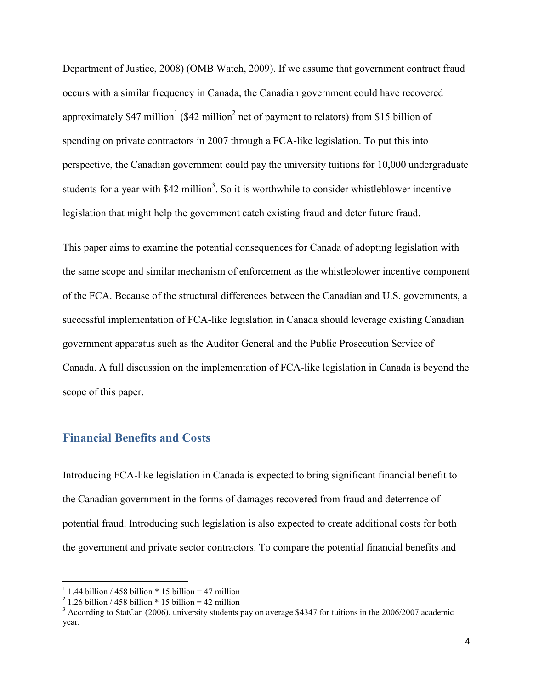Department of Justice, 2008) (OMB Watch, 2009). If we assume that government contract fraud occurs with a similar frequency in Canada, the Canadian government could have recovered approximately \$47 million<sup>1</sup> (\$42 million<sup>2</sup> net of payment to relators) from \$15 billion of spending on private contractors in 2007 through a FCA-like legislation. To put this into perspective, the Canadian government could pay the university tuitions for 10,000 undergraduate students for a year with \$42 million<sup>3</sup>. So it is worthwhile to consider whistleblower incentive legislation that might help the government catch existing fraud and deter future fraud.

This paper aims to examine the potential consequences for Canada of adopting legislation with the same scope and similar mechanism of enforcement as the whistleblower incentive component of the FCA. Because of the structural differences between the Canadian and U.S. governments, a successful implementation of FCA-like legislation in Canada should leverage existing Canadian government apparatus such as the Auditor General and the Public Prosecution Service of Canada. A full discussion on the implementation of FCA-like legislation in Canada is beyond the scope of this paper.

## **Financial Benefits and Costs**

Introducing FCA-like legislation in Canada is expected to bring significant financial benefit to the Canadian government in the forms of damages recovered from fraud and deterrence of potential fraud. Introducing such legislation is also expected to create additional costs for both the government and private sector contractors. To compare the potential financial benefits and

-

 $1$  1.44 billion / 458 billion \* 15 billion = 47 million

 $2^{2}$  1.26 billion / 458 billion \* 15 billion = 42 million

 $3$  According to StatCan (2006), university students pay on average \$4347 for tuitions in the 2006/2007 academic year.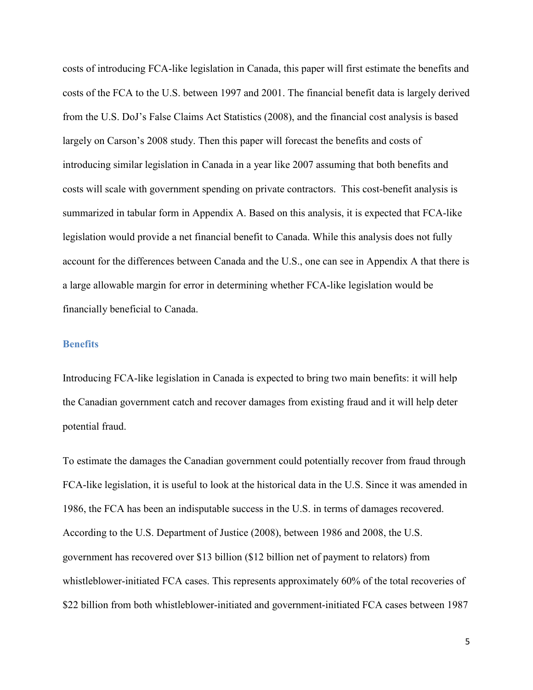costs of introducing FCA-like legislation in Canada, this paper will first estimate the benefits and costs of the FCA to the U.S. between 1997 and 2001. The financial benefit data is largely derived from the U.S. DoJ's False Claims Act Statistics (2008), and the financial cost analysis is based largely on Carson's 2008 study. Then this paper will forecast the benefits and costs of introducing similar legislation in Canada in a year like 2007 assuming that both benefits and costs will scale with government spending on private contractors. This cost-benefit analysis is summarized in tabular form in Appendix A. Based on this analysis, it is expected that FCA-like legislation would provide a net financial benefit to Canada. While this analysis does not fully account for the differences between Canada and the U.S., one can see in Appendix A that there is a large allowable margin for error in determining whether FCA-like legislation would be financially beneficial to Canada.

#### **Benefits**

Introducing FCA-like legislation in Canada is expected to bring two main benefits: it will help the Canadian government catch and recover damages from existing fraud and it will help deter potential fraud.

To estimate the damages the Canadian government could potentially recover from fraud through FCA-like legislation, it is useful to look at the historical data in the U.S. Since it was amended in 1986, the FCA has been an indisputable success in the U.S. in terms of damages recovered. According to the U.S. Department of Justice (2008), between 1986 and 2008, the U.S. government has recovered over \$13 billion (\$12 billion net of payment to relators) from whistleblower-initiated FCA cases. This represents approximately 60% of the total recoveries of \$22 billion from both whistleblower-initiated and government-initiated FCA cases between 1987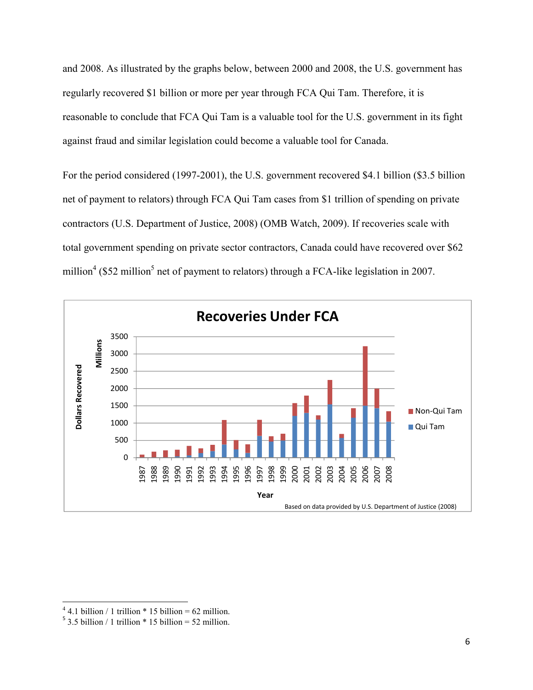and 2008. As illustrated by the graphs below, between 2000 and 2008, the U.S. government has regularly recovered \$1 billion or more per year through FCA Qui Tam. Therefore, it is reasonable to conclude that FCA Qui Tam is a valuable tool for the U.S. government in its fight against fraud and similar legislation could become a valuable tool for Canada.

For the period considered (1997-2001), the U.S. government recovered \$4.1 billion (\$3.5 billion net of payment to relators) through FCA Qui Tam cases from \$1 trillion of spending on private contractors (U.S. Department of Justice, 2008) (OMB Watch, 2009). If recoveries scale with total government spending on private sector contractors, Canada could have recovered over \$62 million<sup>4</sup> (\$52 million<sup>5</sup> net of payment to relators) through a FCA-like legislation in 2007.



<u>.</u>

4.1 billion / 1 trillion  $*$  15 billion = 62 million.

3.5 billion / 1 trillion \* 15 billion = 52 million.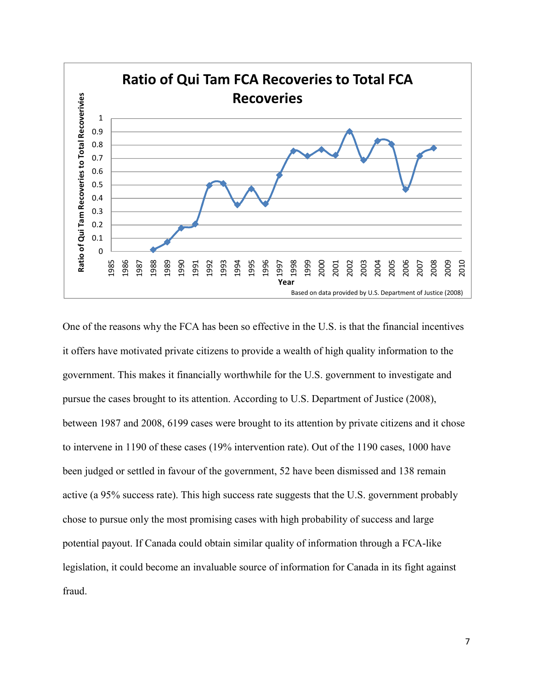

One of the reasons why the FCA has been so effective in the U.S. is that the financial incentives it offers have motivated private citizens to provide a wealth of high quality information to the government. This makes it financially worthwhile for the U.S. government to investigate and pursue the cases brought to its attention. According to U.S. Department of Justice (2008), between 1987 and 2008, 6199 cases were brought to its attention by private citizens and it chose to intervene in 1190 of these cases (19% intervention rate). Out of the 1190 cases, 1000 have been judged or settled in favour of the government, 52 have been dismissed and 138 remain active (a 95% success rate). This high success rate suggests that the U.S. government probably chose to pursue only the most promising cases with high probability of success and large potential payout. If Canada could obtain similar quality of information through a FCA-like legislation, it could become an invaluable source of information for Canada in its fight against fraud.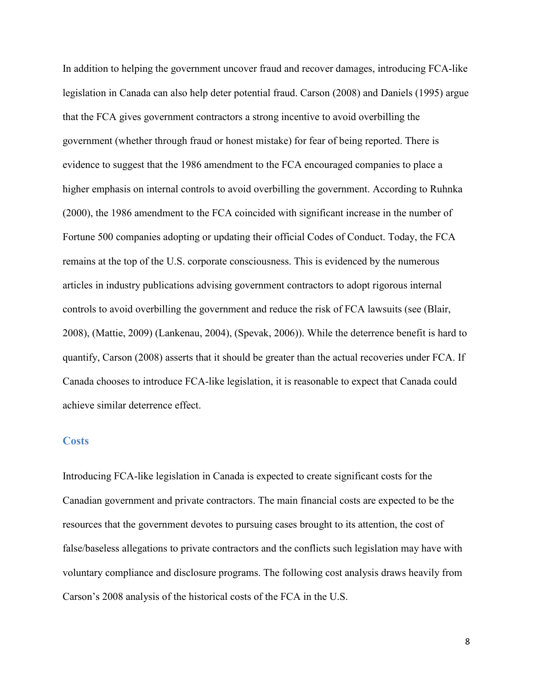In addition to helping the government uncover fraud and recover damages, introducing FCA-like legislation in Canada can also help deter potential fraud. Carson (2008) and Daniels (1995) argue that the FCA gives government contractors a strong incentive to avoid overbilling the government (whether through fraud or honest mistake) for fear of being reported. There is evidence to suggest that the 1986 amendment to the FCA encouraged companies to place a higher emphasis on internal controls to avoid overbilling the government. According to Ruhnka (2000), the 1986 amendment to the FCA coincided with significant increase in the number of Fortune 500 companies adopting or updating their official Codes of Conduct. Today, the FCA remains at the top of the U.S. corporate consciousness. This is evidenced by the numerous articles in industry publications advising government contractors to adopt rigorous internal controls to avoid overbilling the government and reduce the risk of FCA lawsuits (see (Blair, 2008), (Mattie, 2009) (Lankenau, 2004), (Spevak, 2006)). While the deterrence benefit is hard to quantify, Carson (2008) asserts that it should be greater than the actual recoveries under FCA. If Canada chooses to introduce FCA-like legislation, it is reasonable to expect that Canada could achieve similar deterrence effect.

#### **Costs**

Introducing FCA-like legislation in Canada is expected to create significant costs for the Canadian government and private contractors. The main financial costs are expected to be the resources that the government devotes to pursuing cases brought to its attention, the cost of false/baseless allegations to private contractors and the conflicts such legislation may have with voluntary compliance and disclosure programs. The following cost analysis draws heavily from Carson's 2008 analysis of the historical costs of the FCA in the U.S.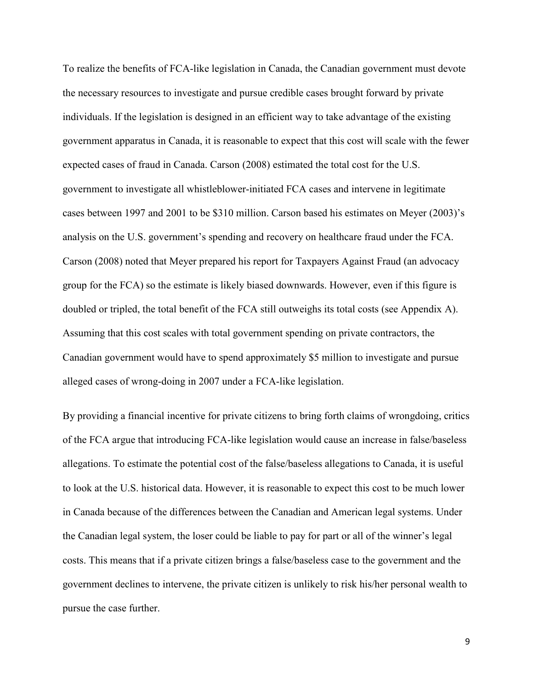To realize the benefits of FCA-like legislation in Canada, the Canadian government must devote the necessary resources to investigate and pursue credible cases brought forward by private individuals. If the legislation is designed in an efficient way to take advantage of the existing government apparatus in Canada, it is reasonable to expect that this cost will scale with the fewer expected cases of fraud in Canada. Carson (2008) estimated the total cost for the U.S. government to investigate all whistleblower-initiated FCA cases and intervene in legitimate cases between 1997 and 2001 to be \$310 million. Carson based his estimates on Meyer (2003)'s analysis on the U.S. government's spending and recovery on healthcare fraud under the FCA. Carson (2008) noted that Meyer prepared his report for Taxpayers Against Fraud (an advocacy group for the FCA) so the estimate is likely biased downwards. However, even if this figure is doubled or tripled, the total benefit of the FCA still outweighs its total costs (see Appendix A). Assuming that this cost scales with total government spending on private contractors, the Canadian government would have to spend approximately \$5 million to investigate and pursue alleged cases of wrong-doing in 2007 under a FCA-like legislation.

By providing a financial incentive for private citizens to bring forth claims of wrongdoing, critics of the FCA argue that introducing FCA-like legislation would cause an increase in false/baseless allegations. To estimate the potential cost of the false/baseless allegations to Canada, it is useful to look at the U.S. historical data. However, it is reasonable to expect this cost to be much lower in Canada because of the differences between the Canadian and American legal systems. Under the Canadian legal system, the loser could be liable to pay for part or all of the winner's legal costs. This means that if a private citizen brings a false/baseless case to the government and the government declines to intervene, the private citizen is unlikely to risk his/her personal wealth to pursue the case further.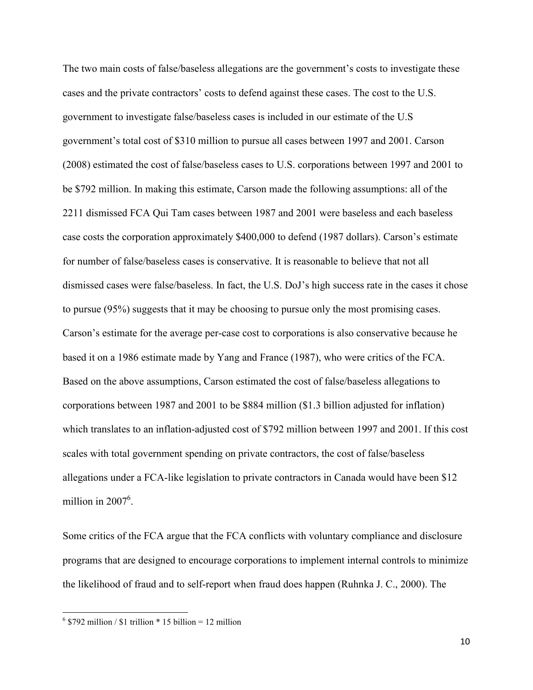The two main costs of false/baseless allegations are the government's costs to investigate these cases and the private contractors' costs to defend against these cases. The cost to the U.S. government to investigate false/baseless cases is included in our estimate of the U.S government's total cost of \$310 million to pursue all cases between 1997 and 2001. Carson (2008) estimated the cost of false/baseless cases to U.S. corporations between 1997 and 2001 to be \$792 million. In making this estimate, Carson made the following assumptions: all of the 2211 dismissed FCA Qui Tam cases between 1987 and 2001 were baseless and each baseless case costs the corporation approximately \$400,000 to defend (1987 dollars). Carson's estimate for number of false/baseless cases is conservative. It is reasonable to believe that not all dismissed cases were false/baseless. In fact, the U.S. DoJ's high success rate in the cases it chose to pursue (95%) suggests that it may be choosing to pursue only the most promising cases. Carson's estimate for the average per-case cost to corporations is also conservative because he based it on a 1986 estimate made by Yang and France (1987), who were critics of the FCA. Based on the above assumptions, Carson estimated the cost of false/baseless allegations to corporations between 1987 and 2001 to be \$884 million (\$1.3 billion adjusted for inflation) which translates to an inflation-adjusted cost of \$792 million between 1997 and 2001. If this cost scales with total government spending on private contractors, the cost of false/baseless allegations under a FCA-like legislation to private contractors in Canada would have been \$12 million in  $2007^6$ .

Some critics of the FCA argue that the FCA conflicts with voluntary compliance and disclosure programs that are designed to encourage corporations to implement internal controls to minimize the likelihood of fraud and to self-report when fraud does happen (Ruhnka J. C., 2000). The

.<br>-

 $6$  \$792 million / \$1 trillion  $*$  15 billion = 12 million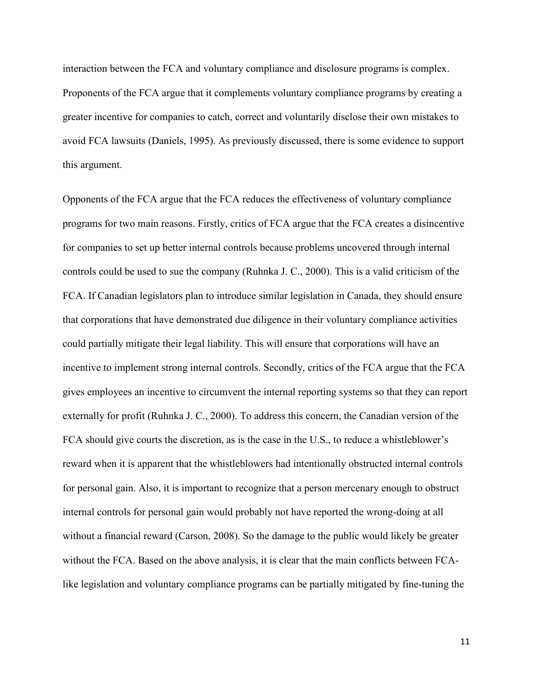interaction between the FCA and voluntary compliance and disclosure programs is complex. Proponents of the FCA argue that it complements voluntary compliance programs by creating a greater incentive for companies to catch, correct and voluntarily disclose their own mistakes to avoid FCA lawsuits (Daniels, 1995). As previously discussed, there is some evidence to support this argument.

Opponents of the FCA argue that the FCA reduces the effectiveness of voluntary compliance programs for two main reasons. Firstly, critics of FCA argue that the FCA creates a disincentive for companies to set up better internal controls because problems uncovered through internal controls could be used to sue the company (Ruhnka J. C., 2000). This is a valid criticism of the FCA. If Canadian legislators plan to introduce similar legislation in Canada, they should ensure that corporations that have demonstrated due diligence in their voluntary compliance activities could partially mitigate their legal liability. This will ensure that corporations will have an incentive to implement strong internal controls. Secondly, critics of the FCA argue that the FCA gives employees an incentive to circumvent the internal reporting systems so that they can report externally for profit (Ruhnka J. C., 2000). To address this concern, the Canadian version of the FCA should give courts the discretion, as is the case in the U.S., to reduce a whistleblower's reward when it is apparent that the whistleblowers had intentionally obstructed internal controls for personal gain. Also, it is important to recognize that a person mercenary enough to obstruct internal controls for personal gain would probably not have reported the wrong-doing at all without a financial reward (Carson, 2008). So the damage to the public would likely be greater without the FCA. Based on the above analysis, it is clear that the main conflicts between FCAlike legislation and voluntary compliance programs can be partially mitigated by fine-tuning the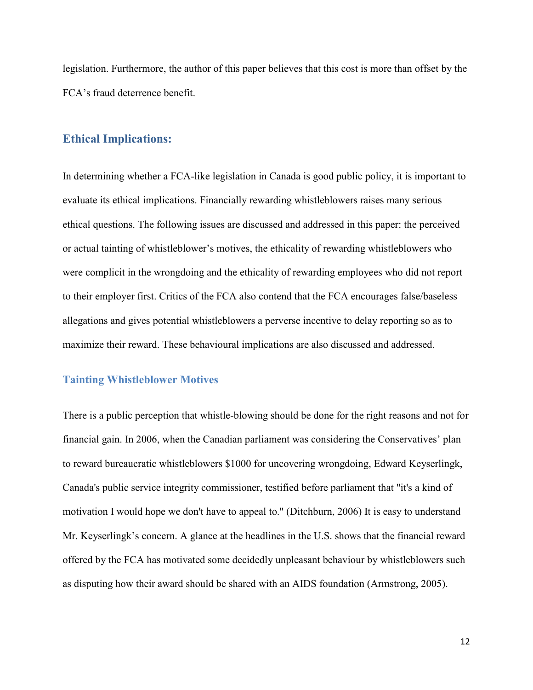legislation. Furthermore, the author of this paper believes that this cost is more than offset by the FCA's fraud deterrence benefit.

## **Ethical Implications:**

In determining whether a FCA-like legislation in Canada is good public policy, it is important to evaluate its ethical implications. Financially rewarding whistleblowers raises many serious ethical questions. The following issues are discussed and addressed in this paper: the perceived or actual tainting of whistleblower's motives, the ethicality of rewarding whistleblowers who were complicit in the wrongdoing and the ethicality of rewarding employees who did not report to their employer first. Critics of the FCA also contend that the FCA encourages false/baseless allegations and gives potential whistleblowers a perverse incentive to delay reporting so as to maximize their reward. These behavioural implications are also discussed and addressed.

#### **Tainting Whistleblower Motives**

There is a public perception that whistle-blowing should be done for the right reasons and not for financial gain. In 2006, when the Canadian parliament was considering the Conservatives' plan to reward bureaucratic whistleblowers \$1000 for uncovering wrongdoing, Edward Keyserlingk, Canada's public service integrity commissioner, testified before parliament that "it's a kind of motivation I would hope we don't have to appeal to." (Ditchburn, 2006) It is easy to understand Mr. Keyserlingk's concern. A glance at the headlines in the U.S. shows that the financial reward offered by the FCA has motivated some decidedly unpleasant behaviour by whistleblowers such as disputing how their award should be shared with an AIDS foundation (Armstrong, 2005).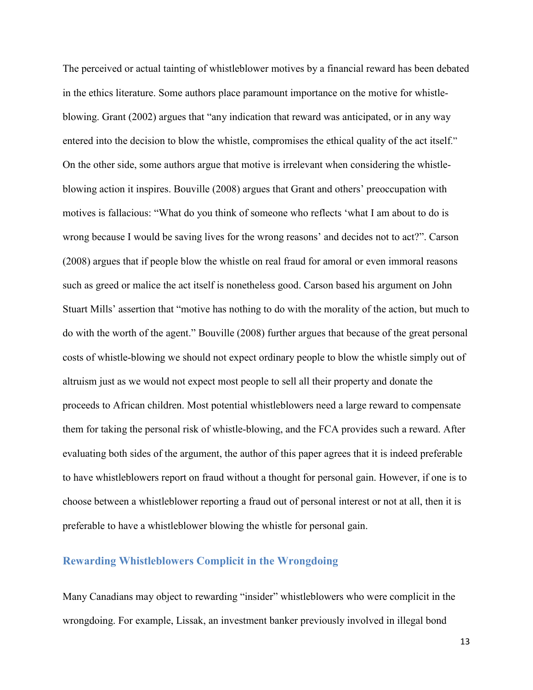The perceived or actual tainting of whistleblower motives by a financial reward has been debated in the ethics literature. Some authors place paramount importance on the motive for whistleblowing. Grant (2002) argues that "any indication that reward was anticipated, or in any way entered into the decision to blow the whistle, compromises the ethical quality of the act itself." On the other side, some authors argue that motive is irrelevant when considering the whistleblowing action it inspires. Bouville (2008) argues that Grant and others' preoccupation with motives is fallacious: "What do you think of someone who reflects 'what I am about to do is wrong because I would be saving lives for the wrong reasons' and decides not to act?". Carson (2008) argues that if people blow the whistle on real fraud for amoral or even immoral reasons such as greed or malice the act itself is nonetheless good. Carson based his argument on John Stuart Mills' assertion that "motive has nothing to do with the morality of the action, but much to do with the worth of the agent." Bouville (2008) further argues that because of the great personal costs of whistle-blowing we should not expect ordinary people to blow the whistle simply out of altruism just as we would not expect most people to sell all their property and donate the proceeds to African children. Most potential whistleblowers need a large reward to compensate them for taking the personal risk of whistle-blowing, and the FCA provides such a reward. After evaluating both sides of the argument, the author of this paper agrees that it is indeed preferable to have whistleblowers report on fraud without a thought for personal gain. However, if one is to choose between a whistleblower reporting a fraud out of personal interest or not at all, then it is preferable to have a whistleblower blowing the whistle for personal gain.

#### **Rewarding Whistleblowers Complicit in the Wrongdoing**

Many Canadians may object to rewarding "insider" whistleblowers who were complicit in the wrongdoing. For example, Lissak, an investment banker previously involved in illegal bond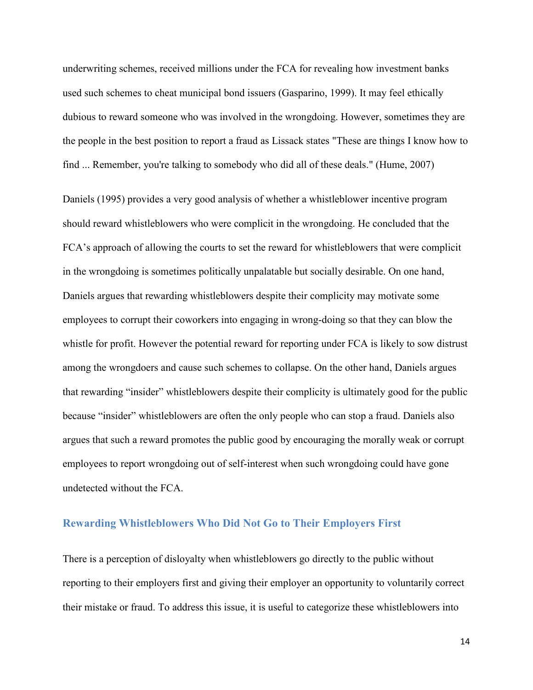underwriting schemes, received millions under the FCA for revealing how investment banks used such schemes to cheat municipal bond issuers (Gasparino, 1999). It may feel ethically dubious to reward someone who was involved in the wrongdoing. However, sometimes they are the people in the best position to report a fraud as Lissack states "These are things I know how to find ... Remember, you're talking to somebody who did all of these deals." (Hume, 2007)

Daniels (1995) provides a very good analysis of whether a whistleblower incentive program should reward whistleblowers who were complicit in the wrongdoing. He concluded that the FCA's approach of allowing the courts to set the reward for whistleblowers that were complicit in the wrongdoing is sometimes politically unpalatable but socially desirable. On one hand, Daniels argues that rewarding whistleblowers despite their complicity may motivate some employees to corrupt their coworkers into engaging in wrong-doing so that they can blow the whistle for profit. However the potential reward for reporting under FCA is likely to sow distrust among the wrongdoers and cause such schemes to collapse. On the other hand, Daniels argues that rewarding "insider" whistleblowers despite their complicity is ultimately good for the public because "insider" whistleblowers are often the only people who can stop a fraud. Daniels also argues that such a reward promotes the public good by encouraging the morally weak or corrupt employees to report wrongdoing out of self-interest when such wrongdoing could have gone undetected without the FCA.

#### **Rewarding Whistleblowers Who Did Not Go to Their Employers First**

There is a perception of disloyalty when whistleblowers go directly to the public without reporting to their employers first and giving their employer an opportunity to voluntarily correct their mistake or fraud. To address this issue, it is useful to categorize these whistleblowers into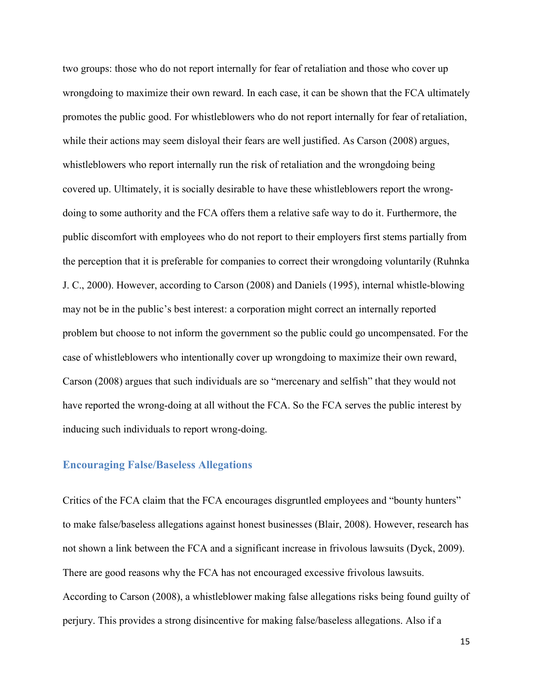two groups: those who do not report internally for fear of retaliation and those who cover up wrongdoing to maximize their own reward. In each case, it can be shown that the FCA ultimately promotes the public good. For whistleblowers who do not report internally for fear of retaliation, while their actions may seem disloyal their fears are well justified. As Carson (2008) argues, whistleblowers who report internally run the risk of retaliation and the wrongdoing being covered up. Ultimately, it is socially desirable to have these whistleblowers report the wrongdoing to some authority and the FCA offers them a relative safe way to do it. Furthermore, the public discomfort with employees who do not report to their employers first stems partially from the perception that it is preferable for companies to correct their wrongdoing voluntarily (Ruhnka J. C., 2000). However, according to Carson (2008) and Daniels (1995), internal whistle-blowing may not be in the public's best interest: a corporation might correct an internally reported problem but choose to not inform the government so the public could go uncompensated. For the case of whistleblowers who intentionally cover up wrongdoing to maximize their own reward, Carson (2008) argues that such individuals are so "mercenary and selfish" that they would not have reported the wrong-doing at all without the FCA. So the FCA serves the public interest by inducing such individuals to report wrong-doing.

#### **Encouraging False/Baseless Allegations**

Critics of the FCA claim that the FCA encourages disgruntled employees and "bounty hunters" to make false/baseless allegations against honest businesses (Blair, 2008). However, research has not shown a link between the FCA and a significant increase in frivolous lawsuits (Dyck, 2009). There are good reasons why the FCA has not encouraged excessive frivolous lawsuits. According to Carson (2008), a whistleblower making false allegations risks being found guilty of perjury. This provides a strong disincentive for making false/baseless allegations. Also if a

15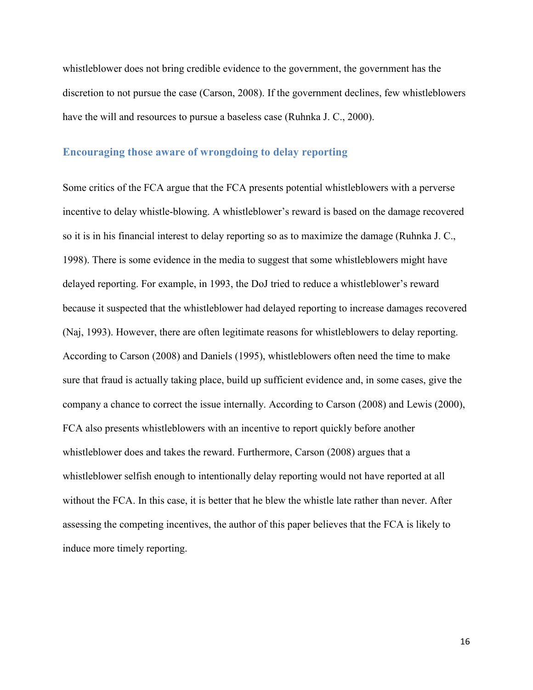whistleblower does not bring credible evidence to the government, the government has the discretion to not pursue the case (Carson, 2008). If the government declines, few whistleblowers have the will and resources to pursue a baseless case (Ruhnka J. C., 2000).

#### **Encouraging those aware of wrongdoing to delay reporting**

Some critics of the FCA argue that the FCA presents potential whistleblowers with a perverse incentive to delay whistle-blowing. A whistleblower's reward is based on the damage recovered so it is in his financial interest to delay reporting so as to maximize the damage (Ruhnka J. C., 1998). There is some evidence in the media to suggest that some whistleblowers might have delayed reporting. For example, in 1993, the DoJ tried to reduce a whistleblower's reward because it suspected that the whistleblower had delayed reporting to increase damages recovered (Naj, 1993). However, there are often legitimate reasons for whistleblowers to delay reporting. According to Carson (2008) and Daniels (1995), whistleblowers often need the time to make sure that fraud is actually taking place, build up sufficient evidence and, in some cases, give the company a chance to correct the issue internally. According to Carson (2008) and Lewis (2000), FCA also presents whistleblowers with an incentive to report quickly before another whistleblower does and takes the reward. Furthermore, Carson (2008) argues that a whistleblower selfish enough to intentionally delay reporting would not have reported at all without the FCA. In this case, it is better that he blew the whistle late rather than never. After assessing the competing incentives, the author of this paper believes that the FCA is likely to induce more timely reporting.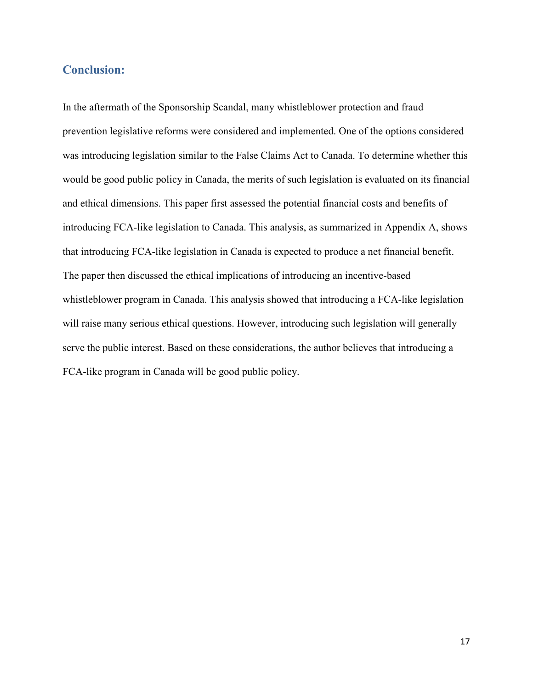## **Conclusion:**

In the aftermath of the Sponsorship Scandal, many whistleblower protection and fraud prevention legislative reforms were considered and implemented. One of the options considered was introducing legislation similar to the False Claims Act to Canada. To determine whether this would be good public policy in Canada, the merits of such legislation is evaluated on its financial and ethical dimensions. This paper first assessed the potential financial costs and benefits of introducing FCA-like legislation to Canada. This analysis, as summarized in Appendix A, shows that introducing FCA-like legislation in Canada is expected to produce a net financial benefit. The paper then discussed the ethical implications of introducing an incentive-based whistleblower program in Canada. This analysis showed that introducing a FCA-like legislation will raise many serious ethical questions. However, introducing such legislation will generally serve the public interest. Based on these considerations, the author believes that introducing a FCA-like program in Canada will be good public policy.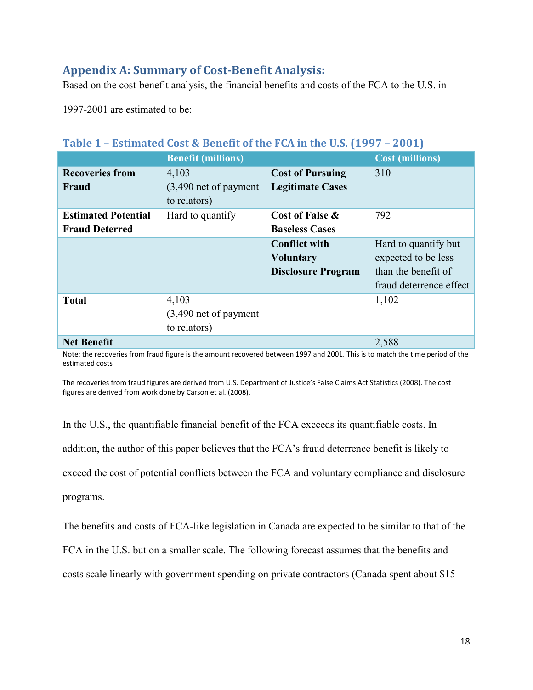# **Appendix A: Summary of Cost-Benefit Analysis:**

Based on the cost-benefit analysis, the financial benefits and costs of the FCA to the U.S. in

1997-2001 are estimated to be:

|                            | <b>Benefit (millions)</b>               |                           | <b>Cost (millions)</b>  |
|----------------------------|-----------------------------------------|---------------------------|-------------------------|
| <b>Recoveries from</b>     | 4,103                                   | <b>Cost of Pursuing</b>   | 310                     |
| Fraud                      | $(3,490$ net of payment<br>to relators) | <b>Legitimate Cases</b>   |                         |
| <b>Estimated Potential</b> | Hard to quantify                        | Cost of False &           | 792                     |
| <b>Fraud Deterred</b>      |                                         | <b>Baseless Cases</b>     |                         |
|                            |                                         | <b>Conflict with</b>      | Hard to quantify but    |
|                            |                                         | <b>Voluntary</b>          | expected to be less     |
|                            |                                         | <b>Disclosure Program</b> | than the benefit of     |
|                            |                                         |                           | fraud deterrence effect |
| <b>Total</b>               | 4,103                                   |                           | 1,102                   |
|                            | $(3,490$ net of payment                 |                           |                         |
|                            | to relators)                            |                           |                         |
| <b>Net Benefit</b>         |                                         |                           | 2,588                   |

# **Table 1 – Estimated Cost & Benefit of the FCA in the U.S. (1997 – 2001)**

Note: the recoveries from fraud figure is the amount recovered between 1997 and 2001. This is to match the time period of the estimated costs

The recoveries from fraud figures are derived from U.S. Department of Justice's False Claims Act Statistics (2008). The cost figures are derived from work done by Carson et al. (2008).

In the U.S., the quantifiable financial benefit of the FCA exceeds its quantifiable costs. In addition, the author of this paper believes that the FCA's fraud deterrence benefit is likely to exceed the cost of potential conflicts between the FCA and voluntary compliance and disclosure programs.

The benefits and costs of FCA-like legislation in Canada are expected to be similar to that of the

FCA in the U.S. but on a smaller scale. The following forecast assumes that the benefits and

costs scale linearly with government spending on private contractors (Canada spent about \$15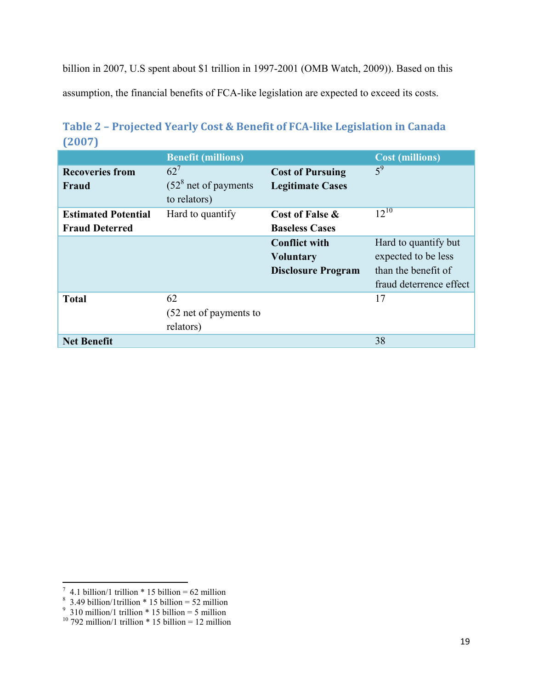billion in 2007, U.S spent about \$1 trillion in 1997-2001 (OMB Watch, 2009)). Based on this assumption, the financial benefits of FCA-like legislation are expected to exceed its costs.

|                                                     | <b>Benefit (millions)</b>                        |                                                                       | <b>Cost (millions)</b>                                                                        |
|-----------------------------------------------------|--------------------------------------------------|-----------------------------------------------------------------------|-----------------------------------------------------------------------------------------------|
| <b>Recoveries from</b><br>Fraud                     | $62^7$<br>$(528$ net of payments<br>to relators) | <b>Cost of Pursuing</b><br><b>Legitimate Cases</b>                    | $5^9$                                                                                         |
| <b>Estimated Potential</b><br><b>Fraud Deterred</b> | Hard to quantify                                 | Cost of False &<br><b>Baseless Cases</b>                              | $12^{10}$                                                                                     |
|                                                     |                                                  | <b>Conflict with</b><br><b>Voluntary</b><br><b>Disclosure Program</b> | Hard to quantify but<br>expected to be less<br>than the benefit of<br>fraud deterrence effect |
| <b>Total</b>                                        | 62<br>(52 net of payments to<br>relators)        |                                                                       | 17                                                                                            |
| <b>Net Benefit</b>                                  |                                                  |                                                                       | 38                                                                                            |

**Table 2 – Projected Yearly Cost & Benefit of FCA-like Legislation in Canada (2007)** 

 7 4.1 billion/1 trillion \* 15 billion = 62 million 8 3.49 billion/1trillion \* 15 billion = 52 million 9 310 million/1 trillion \* 15 billion = 5 million

 $10$  792 million/1 trillion \* 15 billion = 12 million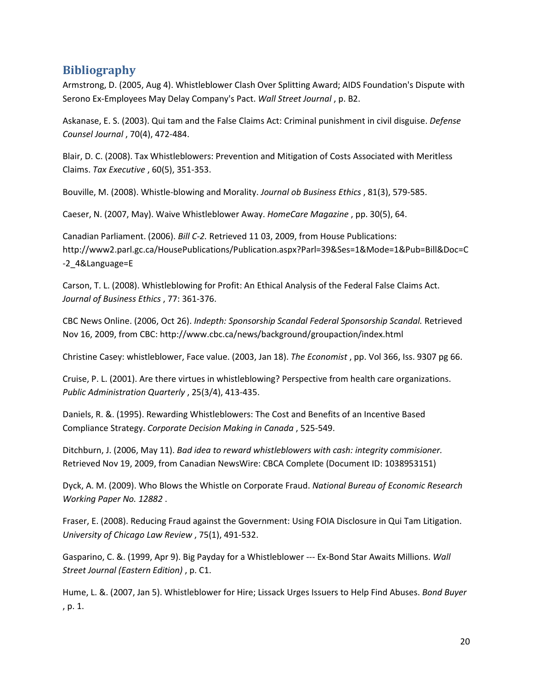# **Bibliography**

Armstrong, D. (2005, Aug 4). Whistleblower Clash Over Splitting Award; AIDS Foundation's Dispute with Serono Ex-Employees May Delay Company's Pact. *Wall Street Journal* , p. B2.

Askanase, E. S. (2003). Qui tam and the False Claims Act: Criminal punishment in civil disguise. *Defense Counsel Journal* , 70(4), 472-484.

Blair, D. C. (2008). Tax Whistleblowers: Prevention and Mitigation of Costs Associated with Meritless Claims. *Tax Executive* , 60(5), 351-353.

Bouville, M. (2008). Whistle-blowing and Morality. *Journal ob Business Ethics* , 81(3), 579-585.

Caeser, N. (2007, May). Waive Whistleblower Away. *HomeCare Magazine* , pp. 30(5), 64.

Canadian Parliament. (2006). *Bill C-2.* Retrieved 11 03, 2009, from House Publications: http://www2.parl.gc.ca/HousePublications/Publication.aspx?Parl=39&Ses=1&Mode=1&Pub=Bill&Doc=C -2\_4&Language=E

Carson, T. L. (2008). Whistleblowing for Profit: An Ethical Analysis of the Federal False Claims Act. *Journal of Business Ethics* , 77: 361-376.

CBC News Online. (2006, Oct 26). *Indepth: Sponsorship Scandal Federal Sponsorship Scandal.* Retrieved Nov 16, 2009, from CBC: http://www.cbc.ca/news/background/groupaction/index.html

Christine Casey: whistleblower, Face value. (2003, Jan 18). *The Economist* , pp. Vol 366, Iss. 9307 pg 66.

Cruise, P. L. (2001). Are there virtues in whistleblowing? Perspective from health care organizations. *Public Administration Quarterly* , 25(3/4), 413-435.

Daniels, R. &. (1995). Rewarding Whistleblowers: The Cost and Benefits of an Incentive Based Compliance Strategy. *Corporate Decision Making in Canada* , 525-549.

Ditchburn, J. (2006, May 11). *Bad idea to reward whistleblowers with cash: integrity commisioner.* Retrieved Nov 19, 2009, from Canadian NewsWire: CBCA Complete (Document ID: 1038953151)

Dyck, A. M. (2009). Who Blows the Whistle on Corporate Fraud. *National Bureau of Economic Research Working Paper No. 12882* .

Fraser, E. (2008). Reducing Fraud against the Government: Using FOIA Disclosure in Qui Tam Litigation. *University of Chicago Law Review* , 75(1), 491-532.

Gasparino, C. &. (1999, Apr 9). Big Payday for a Whistleblower --- Ex-Bond Star Awaits Millions. *Wall Street Journal (Eastern Edition)* , p. C1.

Hume, L. &. (2007, Jan 5). Whistleblower for Hire; Lissack Urges Issuers to Help Find Abuses. *Bond Buyer* , p. 1.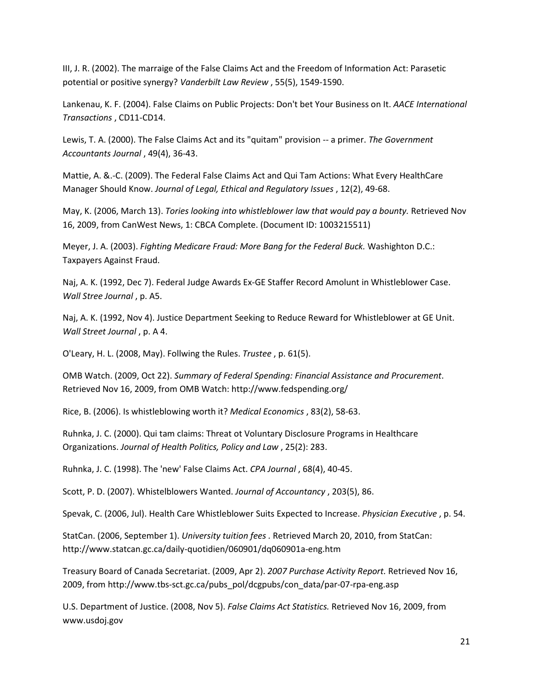III, J. R. (2002). The marraige of the False Claims Act and the Freedom of Information Act: Parasetic potential or positive synergy? *Vanderbilt Law Review* , 55(5), 1549-1590.

Lankenau, K. F. (2004). False Claims on Public Projects: Don't bet Your Business on It. *AACE International Transactions* , CD11-CD14.

Lewis, T. A. (2000). The False Claims Act and its "quitam" provision -- a primer. *The Government Accountants Journal* , 49(4), 36-43.

Mattie, A. &.-C. (2009). The Federal False Claims Act and Qui Tam Actions: What Every HealthCare Manager Should Know. *Journal of Legal, Ethical and Regulatory Issues* , 12(2), 49-68.

May, K. (2006, March 13). *Tories looking into whistleblower law that would pay a bounty.* Retrieved Nov 16, 2009, from CanWest News, 1: CBCA Complete. (Document ID: 1003215511)

Meyer, J. A. (2003). *Fighting Medicare Fraud: More Bang for the Federal Buck.* Washighton D.C.: Taxpayers Against Fraud.

Naj, A. K. (1992, Dec 7). Federal Judge Awards Ex-GE Staffer Record Amolunt in Whistleblower Case. *Wall Stree Journal* , p. A5.

Naj, A. K. (1992, Nov 4). Justice Department Seeking to Reduce Reward for Whistleblower at GE Unit. *Wall Street Journal* , p. A 4.

O'Leary, H. L. (2008, May). Follwing the Rules. *Trustee* , p. 61(5).

OMB Watch. (2009, Oct 22). *Summary of Federal Spending: Financial Assistance and Procurement*. Retrieved Nov 16, 2009, from OMB Watch: http://www.fedspending.org/

Rice, B. (2006). Is whistleblowing worth it? *Medical Economics* , 83(2), 58-63.

Ruhnka, J. C. (2000). Qui tam claims: Threat ot Voluntary Disclosure Programs in Healthcare Organizations. *Journal of Health Politics, Policy and Law* , 25(2): 283.

Ruhnka, J. C. (1998). The 'new' False Claims Act. *CPA Journal* , 68(4), 40-45.

Scott, P. D. (2007). Whistelblowers Wanted. *Journal of Accountancy* , 203(5), 86.

Spevak, C. (2006, Jul). Health Care Whistleblower Suits Expected to Increase. *Physician Executive* , p. 54.

StatCan. (2006, September 1). *University tuition fees .* Retrieved March 20, 2010, from StatCan: http://www.statcan.gc.ca/daily-quotidien/060901/dq060901a-eng.htm

Treasury Board of Canada Secretariat. (2009, Apr 2). *2007 Purchase Activity Report.* Retrieved Nov 16, 2009, from http://www.tbs-sct.gc.ca/pubs\_pol/dcgpubs/con\_data/par-07-rpa-eng.asp

U.S. Department of Justice. (2008, Nov 5). *False Claims Act Statistics.* Retrieved Nov 16, 2009, from www.usdoj.gov